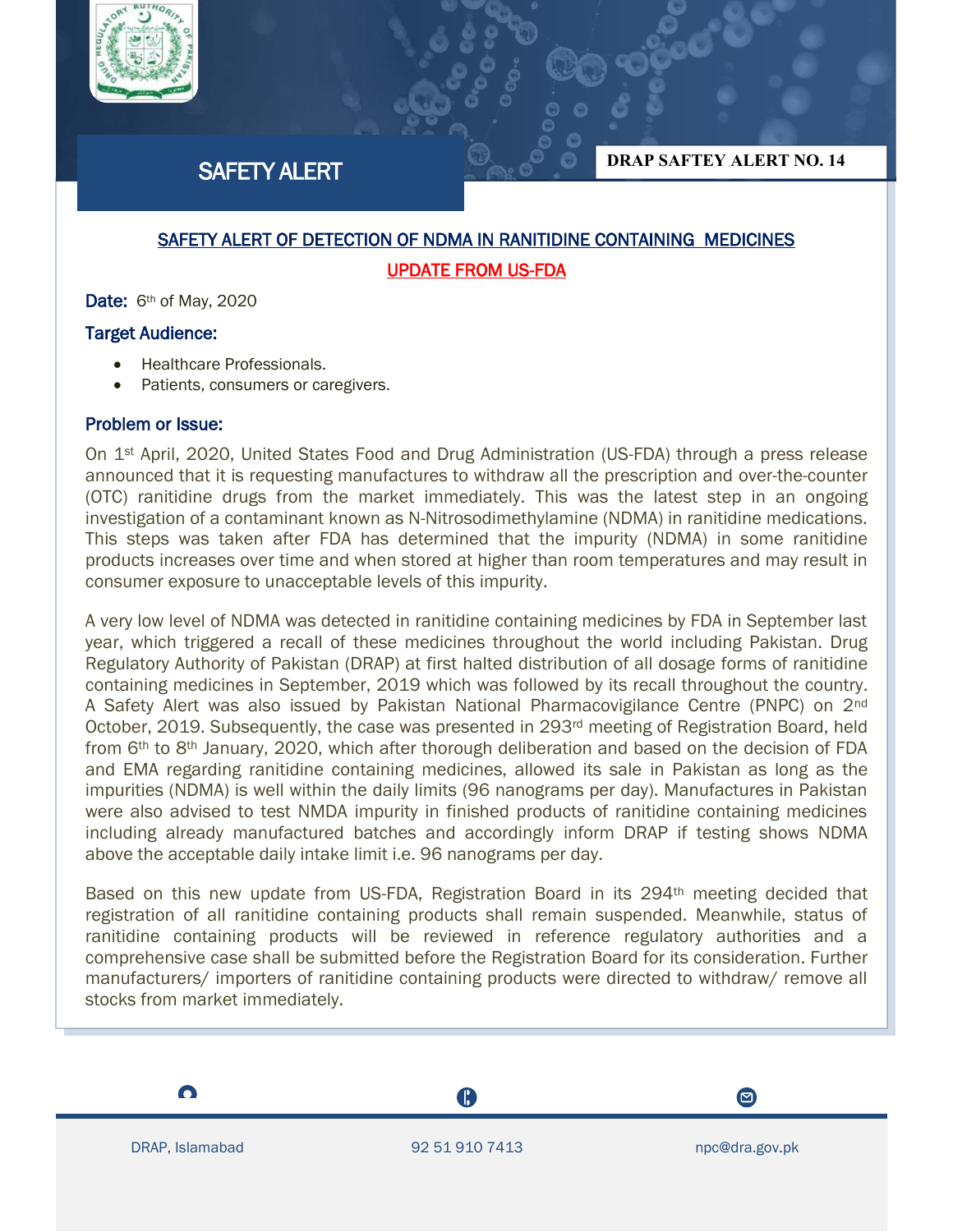

# SAFETY ALERT

**DRAP SAFTEY ALERT NO. 14**

## SAFETY ALERT OF DETECTION OF NDMA IN RANITIDINE CONTAINING MEDICINES UPDATE FROM US-FDA

Date: 6<sup>th</sup> of May, 2020

## Target Audience:

- Healthcare Professionals.
- Patients, consumers or caregivers.

## Problem or Issue:

On 1<sup>st</sup> April, 2020, United States Food and Drug Administration (US-FDA) through a press release announced that it is requesting manufactures to withdraw all the prescription and over-the-counter (OTC) ranitidine drugs from the market immediately. This was the latest step in an ongoing investigation of a contaminant known as N-Nitrosodimethylamine (NDMA) in ranitidine medications. This steps was taken after FDA has determined that the impurity (NDMA) in some ranitidine products increases over time and when stored at higher than room temperatures and may result in consumer exposure to unacceptable levels of this impurity.

A very low level of NDMA was detected in ranitidine containing medicines by FDA in September last year, which triggered a recall of these medicines throughout the world including Pakistan. Drug Regulatory Authority of Pakistan (DRAP) at first halted distribution of all dosage forms of ranitidine containing medicines in September, 2019 which was followed by its recall throughout the country. A Safety Alert was also issued by Pakistan National Pharmacovigilance Centre (PNPC) on 2<sup>nd</sup> October, 2019. Subsequently, the case was presented in 293<sup>rd</sup> meeting of Registration Board, held from  $6<sup>th</sup>$  to  $8<sup>th</sup>$  January, 2020, which after thorough deliberation and based on the decision of FDA and EMA regarding ranitidine containing medicines, allowed its sale in Pakistan as long as the impurities (NDMA) is well within the daily limits (96 nanograms per day). Manufactures in Pakistan were also advised to test NMDA impurity in finished products of ranitidine containing medicines including already manufactured batches and accordingly inform DRAP if testing shows NDMA above the acceptable daily intake limit i.e. 96 nanograms per day.

Based on this new update from US-FDA, Registration Board in its 294<sup>th</sup> meeting decided that registration of all ranitidine containing products shall remain suspended. Meanwhile, status of ranitidine containing products will be reviewed in reference regulatory authorities and a comprehensive case shall be submitted before the Registration Board for its consideration. Further manufacturers/ importers of ranitidine containing products were directed to withdraw/ remove all stocks from market immediately.

 $\bullet$ 

I

A



 $\boldsymbol{\Xi}$